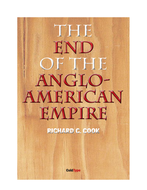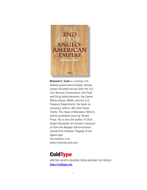

**Richard C. Cook** is a former U.S. federal government analyst, whose career included service with the U.S. Civil Service Commission, the Food and Drug Administration, the Carter White House, NASA, and the U.S. Treasury Department. His book on monetary reform, *We Hold These Truths: The Hope of Monetary Reform*, will be published soon by Tendril Press. He is also the author of *Challenger Revealed: An Insider's Account of How the Reagan Administration Caused the Greatest Tragedy of the Space Age*. His website is at [www.richardccook.com.](http://www.richardccook.com) 

## **ColdType**

WRITING WORTH READING FROM AROUND THE WORLD **[http://coldtype.net](http://www.richardccook.com)**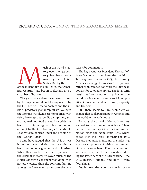## Richard C. cook – end of the Anglo-american empire

uch of the world's his-<br>tory over the last cen-<br>tury has been domi-<br>nated by the United<br>States. But by the turn<br>of the millennium in 2000-2001, the "Amertory over the last century has been dominated by the United States. But by the turn ican Century" had begun to descend into a chamber of horrors.

The years since then have been marked by the huge financial bubbles engineered by the U.S. Federal Reserve System and the virus of predatory global capitalism. We have the looming worldwide economic crisis with rising bankruptcies, credit disruptions, and soaring fuel and food prices. Alongside has been the thinly-disguised but continuing attempt by the U.S. to conquer the Middle East by force of arms under the heading of the "War on Terror."

Some have argued that the U.S. at war is nothing new and that we have always been a nation of aggression and militarism. While this may be true, the expansion of the original 13 states to cover much of the North American continent was done with far less violence than the constant fighting among the European nations over the centuries for domination.

The key event was President Thomas Jefferson's choice to purchase the Louisiana Territory from France in 1803, thus turning America's energy to westward expansion rather than competition with the European powers for colonial empires. The long-term result has been a nation that has led the world in science, technology, social and political innovation, and individual prosperity and freedom.

Still, there seems to have been a critical change that took place in both America and the world in the early 1900s.

To many, the arrival of the 20th century seemed to be a time of great hope. There had not been a major international conflagration since the Napoleonic Wars which ended with the Treaty of Vienna in 1815. Despite inequities in income, the industrial age showed promise of raising the standard of living everywhere. Four large nations whose territory had been consolidated during the latter part of the 19th century – the U.S., Russia, Germany, and Italy – were flourishing.

But by 1914, the worst war in history  $-$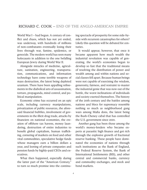World War I – had begun. A century of conflict and chaos, which has not yet ended, was underway, with hundreds of millions of non-combatants eventually losing their lives through war, famine, epidemics, or genocide. The modern world has seen many holocausts in addition to the one befalling European Jewry during World War II.

Alongside miracles of medicine, agriculture, sanitation, engineering, transportation, communications, and information technology have come terrible weapons of mass destruction, the latest being depleted uranium. There have been appalling refinements in the diabolical arts of assassination, torture, propaganda, mind control, and political manipulation.

Economic crime has occurred on an epic scale, including currency manipulations, privatization of public resources, the aforesaid financial bubbles, involvement of governments in the illicit drug trade, attacks by financiers on national economies, the creation of offshore tax havens, money laundering, destruction of entire industries to benefit global capitalism, human trafficking, cornering of markets on food and other vital commodities, speculative hedge funds whose managers earn a billion dollars a year, and looting of private companies and pension funds by highly-paid CEOs and executives.

What then happened, especially during the latter part of the "American Century," to turn so much promise into the continuing spectacle of prosperity for some side-byside with recurrent catastrophes for others? Likely this question will be debated for centuries.

It would appear, however, that once it became apparent how much wealth the industrial revolution was capable of generating, the world's economies began to develop so fast that the traditional means of resolving the distribution of power and wealth among and within nations and social classes fell apart. Because human beings were not capable of exercising the wisdom, generosity, fairness, and restraint to master the industrial genie that was now out of the bottle, the worst inclinations of individuals and society exerted themselves. The history of the 20th century and the battles among nations and blocs for supremacy resemble nothing so much as neighborhood gang wars among Mafia dons, the latest being the Bush-Cheney cabal that has controlled the U.S. government since 2001.

Another gang has been those among the world's money-lenders who became experts at parasitic high finance and got rich through the explosive growth of fractional reserve banking. These people have dominated the economies of nations through such institutions as the Bank of England, the Federal Reserve System, the Bank of International Settlements (BIS), and other central and commercial banks, currency and commodity exchanges, and stock and bond markets.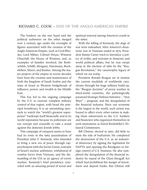The bankers on the one hand and the political racketeers on the other merged over a century ago under the oversight of figures associated with the creation of the Anglo-American Empire, such as Cecil Rhodes, Lord Milner, Colonel House, Winston Churchill, the House of Windsor, and, as examples of families involved, the Rothschilds, Schiffs, Morgans, Harrimans, Rockefellers, Myers, and Bushes. Among the major projects of the empire in recent decades have been the creation and maintenance of both the kingdom of Saudi Arabia and the state of Israel as Western bridgeheads of influence, power, and wealth in the Middle East.

This has led to the ongoing campaign by the U.S. to exercise complete military control of that region, with Israel the principal beneficiary. It is an astonishing spectacle to watch the "world's greatest superpower" bankrupt itself financially and in its world reputation because its politicians are too corrupt and cowardly to take a stand against the domestic Jewish lobby.

This campaign of conquest seems to have had its roots in the 1963 assassination of President John F. Kennedy, who intended to bring a new era of peace through rapprochement with the Soviet Union, restraint of Israel's nuclear ambitions, withdrawal of combat forces from Vietnam, and the dismantling of the CIA as an agency of covert warfare. Kennedy's brief presidency coincided with an amazing period of social and

spiritual renewal among America's youth in the 1960s.

With the killing of Kennedy, the dogs of war were unleashed. After America's disastrous war in Vietnam ended in 1975, President Jimmy Carter tried to introduce a policy of civility and restraint in domestic and world political affairs, but he was swept away in the election of 1980 by the "Reagan Revolution," the catastrophic legacy of which we see today.

President Ronald Reagan set in motion the current mudslide of worldwide cataclysms through his huge military build-up, the "Reagan doctrine" of proxy warfare in third-world countries, the pathologically paranoid Strategic Defense Initiative – "Star Wars" – program, and the deregulation of the financial industry. Since our economy is the largest in the world, such action was bound to affect every other nation in making them subservient to the U.S. bankers and financiers who organized themselves in such institutions as David Rockefeller's Trilateral Commission.

Bill Clinton, elected in 1992, did little to stem the tide of barbarism. He completed the destruction of the U.S. as an industrial democracy by signing the legislation for NAFTA and opening the floodgates to foreign control of U.S. business. He also completed the deregulation of the financial industry by repeal of the Glass-Steagall Act which had prohibited the merger of investment and deposit banks. But Clinton still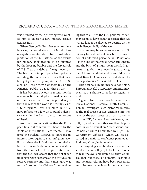was attacked by the right-wing who wanted him to unleash a new military assault against Iraq .

When George W. Bush became president in 2000, the grand strategy of Middle East occupation was facilitated by the skillful exploitation of the 9/11 attacks as the excuse for military mobilization to be financed by the housing bubble and the forced sale of U.S. Treasury debt to foreign investors. The historic jack-up of petroleum prices – including the most recent ones that have brought gas at-the-pump in the U.S. to \$4 a gallon – are clearly a de facto tax on the American public to pay for these wars.

It has become obvious in recent months – even as Bush et al. plot a possible attack on Iran before the end of his presidency – that the rest of the world is heartily sick of U.S. arrogance. Even our allies in NATO have refused to allow us to build a defensive missile shield virtually to the borders of Russia.

And there are indications that the European financial community – headed by the Bank of International Settlements – may force the Federal Reserve to start raising interest rates again to stem inflation, even if this drives the U.S. domestic population into an economic depression. Recent signs from the Council on Foreign Relations are that the U.S. will accept that the dollar can no longer reign supreme as the world's sole reserve currency and that it must give way to the Euro and the Chinese Yuan in sharing this role. Thus the U.S. political leadership seems to have begun to realize that we will no longer be allowed to posture as the unchallenged bully of the world.

What we may be seeing – even as the U.S. military has extended its reach to the insertion of uniformed personnel in 135 nations – is the end of the Anglo-American Empire and the birth of a multi-polar world. It appears that the more level-headed among the U.S. and worldwide elite are tilting toward Barack Obama as the best choice to manage America 's inevitable decline.

This decline is by no means a bad thing. Through graceful acceptance, America may even have a chance someday to regain its soul.

A good place to start would be to establish a National Historical Truth Commission to investigate such historical puzzles as the real causes of U.S. entrance into the wars of the past century; assassinations – such as JFK, Senator Paul Wellstone, and JFK, Jr.; and 9/11. Another worthwhile proposal is for a tribunal on "International and Domestic Crimes Committed by High U.S. Government Officials," which will be discussed at a national conference planned for Andover, Mass., in September.

Can anything else be done to ease the shocks to come? If people took the trouble to read the available literature, they would see that hundreds of potential economic and political reforms have been presented and discussed – at least in books and on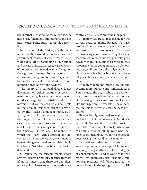the internet – that could make our society more just, functional, and humane and not just the ugly police state it is rapidly becoming.

In the mind of this writer, a viable economic solution would be policies based on government control of credit treated as a vital public utility, rebuilding of our public and private infrastructure, radical reduction of pollution and dependence on foreign oil through green energy R&D, enactment of a basic income guarantee, and implementation of a national dividend which would monetize productivity and savings.

The theory of a national dividend, not dependent on either taxation or government borrowing, is sound and was worked out decades ago by the British Social Credit movement. It can be seen on a small scale in the annual residents' stipend provided by the Alaska Permanent Fund. Such a program would be more in accord with the largely successful social welfare policies of the Western European democracies and less with the leanings, for instance, of the American Libertarians. The manner in which they view with suspicion any action taken by representative government to benefit the general welfare – misleadingly labeling it "socialism" – is an ideological dead end.

Of course the mainstream media ignore any real reform proposals, because they are afraid to suggest that there are any alternative political structures to ones that are controlled by usurers and war-mongers.

Ultimately, we are all responsible for the current state of affairs, because we have profited from it in one way or another so we must reap the consequences. There is no use worrying about how we might escape the wave of events while everyone else goes down with the ship. But those who at least recognize what is going on have an obvious advantage. From there the only conscionable approach is what it has always been – diligence, honesty, and prudence in all our affairs.

Ultimately, mankind must grow up and became more humane and compassionate. This includes the angry white male American conservatives who – under the tutelage of conniving European-born intellectuals like Kissinger and Brzezinski – have been the real global terrorists for the past generation.

Philosophically, we need to realize that we live in an infinite universe of abundance where all God's children can be provided for, rather than one of scarcity where we can only survive by taking away what belongs to our neighbor. We can all choose to begin seeing the world in this manner.

We need to understand that we are at an early point of a new age of humanity. If enough people attain a sufficient degree of enlightenment – and it won't take that many – real change in social, economic, and political relations will follow, just as the flowers bloom in the spring.  $CT$